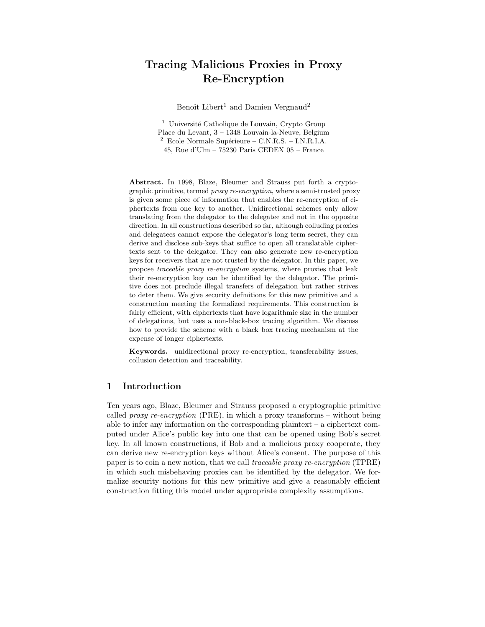# Tracing Malicious Proxies in Proxy Re-Encryption

Benoît Libert<sup>1</sup> and Damien Vergnaud<sup>2</sup>

<sup>1</sup> Université Catholique de Louvain, Crypto Group Place du Levant, 3 – 1348 Louvain-la-Neuve, Belgium  $2$  Ecole Normale Supérieure – C.N.R.S. – I.N.R.I.A. 45, Rue d'Ulm – 75230 Paris CEDEX 05 – France

Abstract. In 1998, Blaze, Bleumer and Strauss put forth a cryptographic primitive, termed proxy re-encryption, where a semi-trusted proxy is given some piece of information that enables the re-encryption of ciphertexts from one key to another. Unidirectional schemes only allow translating from the delegator to the delegatee and not in the opposite direction. In all constructions described so far, although colluding proxies and delegatees cannot expose the delegator's long term secret, they can derive and disclose sub-keys that suffice to open all translatable ciphertexts sent to the delegator. They can also generate new re-encryption keys for receivers that are not trusted by the delegator. In this paper, we propose traceable proxy re-encryption systems, where proxies that leak their re-encryption key can be identified by the delegator. The primitive does not preclude illegal transfers of delegation but rather strives to deter them. We give security definitions for this new primitive and a construction meeting the formalized requirements. This construction is fairly efficient, with ciphertexts that have logarithmic size in the number of delegations, but uses a non-black-box tracing algorithm. We discuss how to provide the scheme with a black box tracing mechanism at the expense of longer ciphertexts.

Keywords. unidirectional proxy re-encryption, transferability issues, collusion detection and traceability.

# 1 Introduction

Ten years ago, Blaze, Bleumer and Strauss proposed a cryptographic primitive called *proxy re-encryption* (PRE), in which a proxy transforms – without being able to infer any information on the corresponding plaintext – a ciphertext computed under Alice's public key into one that can be opened using Bob's secret key. In all known constructions, if Bob and a malicious proxy cooperate, they can derive new re-encryption keys without Alice's consent. The purpose of this paper is to coin a new notion, that we call traceable proxy re-encryption (TPRE) in which such misbehaving proxies can be identified by the delegator. We formalize security notions for this new primitive and give a reasonably efficient construction fitting this model under appropriate complexity assumptions.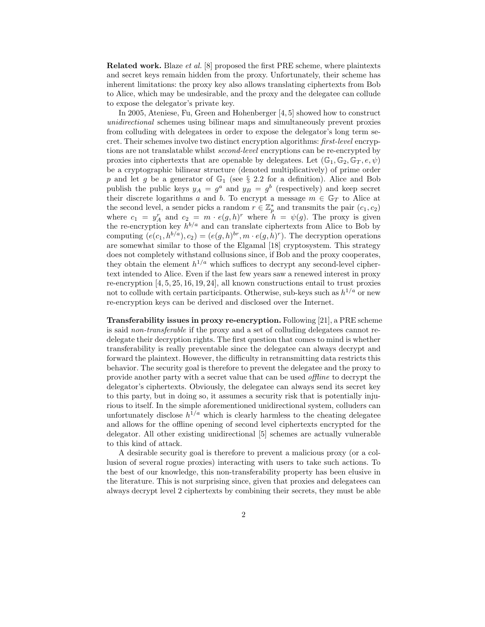Related work. Blaze et al. [8] proposed the first PRE scheme, where plaintexts and secret keys remain hidden from the proxy. Unfortunately, their scheme has inherent limitations: the proxy key also allows translating ciphertexts from Bob to Alice, which may be undesirable, and the proxy and the delegatee can collude to expose the delegator's private key.

In 2005, Ateniese, Fu, Green and Hohenberger [4, 5] showed how to construct unidirectional schemes using bilinear maps and simultaneously prevent proxies from colluding with delegatees in order to expose the delegator's long term secret. Their schemes involve two distinct encryption algorithms: first-level encryptions are not translatable whilst second-level encryptions can be re-encrypted by proxies into ciphertexts that are openable by delegatees. Let  $(\mathbb{G}_1, \mathbb{G}_2, \mathbb{G}_T, e, \psi)$ be a cryptographic bilinear structure (denoted multiplicatively) of prime order p and let g be a generator of  $\mathbb{G}_1$  (see § 2.2 for a definition). Alice and Bob publish the public keys  $y_A = g^a$  and  $y_B = g^b$  (respectively) and keep secret their discrete logarithms a and b. To encrypt a message  $m \in \mathbb{G}_T$  to Alice at the second level, a sender picks a random  $r \in \mathbb{Z}_p^*$  and transmits the pair  $(c_1, c_2)$ where  $c_1 = y_A^r$  and  $c_2 = m \cdot e(g, h)^r$  where  $h = \psi(g)$ . The proxy is given the re-encryption key  $h^{b/a}$  and can translate ciphertexts from Alice to Bob by computing  $(e(c_1, h^{b/a}), c_2) = (e(g, h)^{br}, m \cdot e(g, h)^{r})$ . The decryption operations are somewhat similar to those of the Elgamal [18] cryptosystem. This strategy does not completely withstand collusions since, if Bob and the proxy cooperates, they obtain the element  $h^{1/a}$  which suffices to decrypt any second-level ciphertext intended to Alice. Even if the last few years saw a renewed interest in proxy re-encryption [4, 5, 25, 16, 19, 24], all known constructions entail to trust proxies not to collude with certain participants. Otherwise, sub-keys such as  $h^{1/a}$  or new re-encryption keys can be derived and disclosed over the Internet.

Transferability issues in proxy re-encryption. Following [21], a PRE scheme is said non-transferable if the proxy and a set of colluding delegatees cannot redelegate their decryption rights. The first question that comes to mind is whether transferability is really preventable since the delegatee can always decrypt and forward the plaintext. However, the difficulty in retransmitting data restricts this behavior. The security goal is therefore to prevent the delegatee and the proxy to provide another party with a secret value that can be used offline to decrypt the delegator's ciphertexts. Obviously, the delegatee can always send its secret key to this party, but in doing so, it assumes a security risk that is potentially injurious to itself. In the simple aforementioned unidirectional system, colluders can unfortunately disclose  $h^{1/a}$  which is clearly harmless to the cheating delegatee and allows for the offline opening of second level ciphertexts encrypted for the delegator. All other existing unidirectional [5] schemes are actually vulnerable to this kind of attack.

A desirable security goal is therefore to prevent a malicious proxy (or a collusion of several rogue proxies) interacting with users to take such actions. To the best of our knowledge, this non-transferability property has been elusive in the literature. This is not surprising since, given that proxies and delegatees can always decrypt level 2 ciphertexts by combining their secrets, they must be able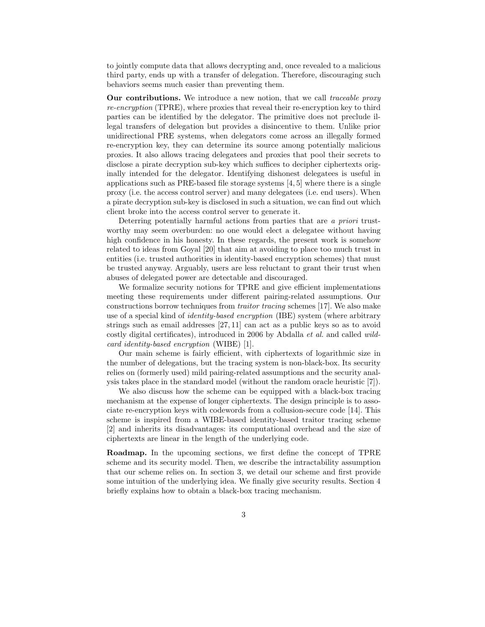to jointly compute data that allows decrypting and, once revealed to a malicious third party, ends up with a transfer of delegation. Therefore, discouraging such behaviors seems much easier than preventing them.

Our contributions. We introduce a new notion, that we call traceable proxy re-encryption (TPRE), where proxies that reveal their re-encryption key to third parties can be identified by the delegator. The primitive does not preclude illegal transfers of delegation but provides a disincentive to them. Unlike prior unidirectional PRE systems, when delegators come across an illegally formed re-encryption key, they can determine its source among potentially malicious proxies. It also allows tracing delegatees and proxies that pool their secrets to disclose a pirate decryption sub-key which suffices to decipher ciphertexts originally intended for the delegator. Identifying dishonest delegatees is useful in applications such as PRE-based file storage systems [4, 5] where there is a single proxy (i.e. the access control server) and many delegatees (i.e. end users). When a pirate decryption sub-key is disclosed in such a situation, we can find out which client broke into the access control server to generate it.

Deterring potentially harmful actions from parties that are a priori trustworthy may seem overburden: no one would elect a delegatee without having high confidence in his honesty. In these regards, the present work is somehow related to ideas from Goyal [20] that aim at avoiding to place too much trust in entities (i.e. trusted authorities in identity-based encryption schemes) that must be trusted anyway. Arguably, users are less reluctant to grant their trust when abuses of delegated power are detectable and discouraged.

We formalize security notions for TPRE and give efficient implementations meeting these requirements under different pairing-related assumptions. Our constructions borrow techniques from traitor tracing schemes [17]. We also make use of a special kind of identity-based encryption (IBE) system (where arbitrary strings such as email addresses [27, 11] can act as a public keys so as to avoid costly digital certificates), introduced in 2006 by Abdalla et al. and called wildcard identity-based encryption (WIBE) [1].

Our main scheme is fairly efficient, with ciphertexts of logarithmic size in the number of delegations, but the tracing system is non-black-box. Its security relies on (formerly used) mild pairing-related assumptions and the security analysis takes place in the standard model (without the random oracle heuristic [7]).

We also discuss how the scheme can be equipped with a black-box tracing mechanism at the expense of longer ciphertexts. The design principle is to associate re-encryption keys with codewords from a collusion-secure code [14]. This scheme is inspired from a WIBE-based identity-based traitor tracing scheme [2] and inherits its disadvantages: its computational overhead and the size of ciphertexts are linear in the length of the underlying code.

Roadmap. In the upcoming sections, we first define the concept of TPRE scheme and its security model. Then, we describe the intractability assumption that our scheme relies on. In section 3, we detail our scheme and first provide some intuition of the underlying idea. We finally give security results. Section 4 briefly explains how to obtain a black-box tracing mechanism.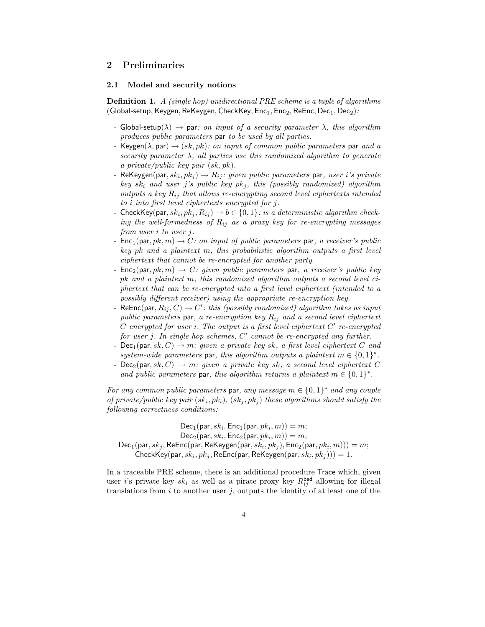# 2 Preliminaries

#### 2.1 Model and security notions

Definition 1. A (single hop) unidirectional PRE scheme is a tuple of algorithms (Global-setup, Keygen, ReKeygen, CheckKey, Enc<sub>1</sub>, Enc<sub>2</sub>, ReEnc, Dec<sub>1</sub>, Dec<sub>2</sub>):

- Global-setup( $\lambda$ )  $\rightarrow$  par: on input of a security parameter  $\lambda$ , this algorithm produces public parameters par to be used by all parties.
- Keygen( $\lambda$ , par)  $\rightarrow$  (sk, pk): on input of common public parameters par and a security parameter  $\lambda$ , all parties use this randomized algorithm to generate a private/public key pair (sk, pk).
- ReKeygen $(\textsf{par}, sk_i, pk_j) \rightarrow R_{ij}$ : given public parameters par, user i's private key sk<sub>i</sub> and user j's public key  $pk_j$ , this (possibly randomized) algorithm outputs a key  $R_{ij}$  that allows re-encrypting second level ciphertexts intended to i into first level ciphertexts encrypted for j.
- CheckKey(par,  $sk_i, pk_j, R_{ij}$ )  $\rightarrow b \in \{0, 1\}$ : is a deterministic algorithm checking the well-formedness of  $R_{ij}$  as a proxy key for re-encrypting messages from user i to user j.
- Enc<sub>1</sub>(par,  $pk, m$ )  $\rightarrow C$ : on input of public parameters par, a receiver's public key pk and a plaintext m, this probabilistic algorithm outputs a first level ciphertext that cannot be re-encrypted for another party.
- $Enc_2(\text{par}, pk, m) \rightarrow C$ : given public parameters par, a receiver's public key pk and a plaintext m, this randomized algorithm outputs a second level ciphertext that can be re-encrypted into a first level ciphertext (intended to a possibly different receiver) using the appropriate re-encryption key.
- ReEnc(par,  $R_{ij}, C$ )  $\rightarrow$  C': this (possibly randomized) algorithm takes as input public parameters par, a re-encryption key  $R_{ij}$  and a second level ciphertext  $C$  encrypted for user i. The output is a first level ciphertext  $C'$  re-encrypted for user j. In single hop schemes, C' cannot be re-encrypted any further.
- Dec<sub>1</sub>(par, sk, C)  $\rightarrow$  m: given a private key sk, a first level ciphertext C and system-wide parameters par, this algorithm outputs a plaintext  $m \in \{0,1\}^*$ .
- $Dec_2(\text{par}, sk, C) \rightarrow m$ : given a private key sk, a second level ciphertext C and public parameters par, this algorithm returns a plaintext  $m \in \{0,1\}^*$ .

For any common public parameters par, any message  $m \in \{0,1\}^*$  and any couple of private/public key pair  $(sk_i, pk_i)$ ,  $(sk_j, pk_j)$  these algorithms should satisfy the following correctness conditions:

 $\mathsf{Dec}_1(\mathsf{par}, sk_i, \mathsf{Enc}_1(\mathsf{par}, pk_i, m)) = m;$  $\mathsf{Dec}_2(\mathsf{par}, sk_i, \mathsf{Enc}_2(\mathsf{par}, pk_i, m)) = m;$  $\mathsf{Dec}_1(\mathsf{par}, sk_j, \mathsf{ReEnc}(\mathsf{par}, \mathsf{ReKeygen}(\mathsf{par}, sk_i, pk_j), \mathsf{Enc}_2(\mathsf{par}, pk_i, m)))=m;$  $\mathsf{CheckKey}(\mathsf{par}, \mathit{sk}_i, \allowbreak \mathit{pk}_j, \allowbreak \mathsf{ReEnc}(\mathsf{par}, \mathsf{ReKeygen}(\mathsf{par}, \mathit{sk}_i, \mathit{pk}_j))) = 1.$ 

In a traceable PRE scheme, there is an additional procedure Trace which, given user *i*'s private key  $sk_i$  as well as a pirate proxy key  $R_{ij}^{\text{bad}}$  allowing for illegal translations from  $i$  to another user  $j$ , outputs the identity of at least one of the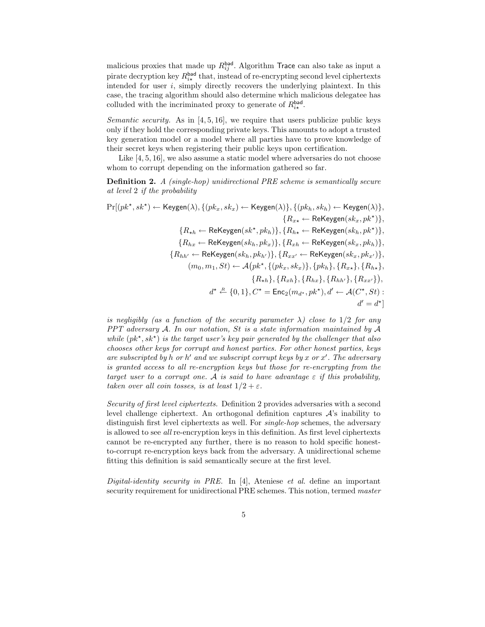malicious proxies that made up  $R_{ij}^{\text{bad}}$ . Algorithm Trace can also take as input a pirate decryption key  $R_{i\star}^{\text{bad}}$  that, instead of re-encrypting second level ciphertexts intended for user  $i$ , simply directly recovers the underlying plaintext. In this case, the tracing algorithm should also determine which malicious delegatee has colluded with the incriminated proxy to generate of  $R_{i\star}^{\text{bad}}$ .

*Semantic security.* As in  $[4, 5, 16]$ , we require that users publicize public keys only if they hold the corresponding private keys. This amounts to adopt a trusted key generation model or a model where all parties have to prove knowledge of their secret keys when registering their public keys upon certification.

Like  $[4, 5, 16]$ , we also assume a static model where adversaries do not choose whom to corrupt depending on the information gathered so far.

Definition 2. A (single-hop) unidirectional PRE scheme is semantically secure at level 2 if the probability

, skaap (skå andre skå andre skå andre skå andre skå andre skå andre skå andre skå andre skå andre skå andre s

$$
\Pr[(pk^{\star}, sk^{\star}) \leftarrow \text{Keygen}(\lambda), \{(pk_x, sk_x) \leftarrow \text{Keygen}(\lambda)\}, \{pk_h, sk_h) \leftarrow \text{Keygen}(\lambda)\},
$$
\n
$$
\{R_{x*} \leftarrow \text{ReKeygen}(sk_x, pk^{\star})\},
$$
\n
$$
\{R_{k*} \leftarrow \text{ReKeygen}(sk^{\star}, pk_h)\}, \{R_{h*} \leftarrow \text{ReKeygen}(sk_h, pk^{\star})\},
$$
\n
$$
\{R_{hx} \leftarrow \text{ReKeygen}(sk_h, pk_x)\}, \{R_{xh} \leftarrow \text{ReKeygen}(sk_x, pk_h)\},
$$
\n
$$
\{R_{hh'} \leftarrow \text{ReKeygen}(sk_h, pk_h)\}, \{R_{xx'} \leftarrow \text{ReKeygen}(sk_x, pk_x)\},
$$
\n
$$
\{m_0, m_1, St\} \leftarrow \mathcal{A}(pk^{\star}, \{(pk_x, sk_x)\}, \{pk_h\}, \{R_{xx}\}, \{R_{hx'}\}, \{R_{xx'}\}\},
$$
\n
$$
\{R_{kh}\}, \{R_{xh}\}, \{R_{hx}\}, \{R_{hx}\}, \{R_{hx'}\}, \{R_{hx'}\}, \{R_{xx'}\}\},
$$
\n
$$
d^{\star} \leftarrow \{0, 1\}, C^{\star} = \text{Enc}_2(m_{d^{\star}}, pk^{\star}), d' \leftarrow \mathcal{A}(C^{\star}, St):
$$
\n
$$
d' = d^{\star}]
$$

is negligibly (as a function of the security parameter  $\lambda$ ) close to 1/2 for any PPT adversary A. In our notation, St is a state information maintained by  $\mathcal A$ while  $(pk^{\star}, sk^{\star})$  is the target user's key pair generated by the challenger that also chooses other keys for corrupt and honest parties. For other honest parties, keys are subscripted by h or h' and we subscript corrupt keys by x or  $x'$ . The adversary is granted access to all re-encryption keys but those for re-encrypting from the target user to a corrupt one. A is said to have advantage  $\varepsilon$  if this probability, taken over all coin tosses, is at least  $1/2 + \varepsilon$ .

Security of first level ciphertexts. Definition 2 provides adversaries with a second level challenge ciphertext. An orthogonal definition captures  $A$ 's inability to distinguish first level ciphertexts as well. For *single-hop* schemes, the adversary is allowed to see all re-encryption keys in this definition. As first level ciphertexts cannot be re-encrypted any further, there is no reason to hold specific honestto-corrupt re-encryption keys back from the adversary. A unidirectional scheme fitting this definition is said semantically secure at the first level.

Digital-identity security in PRE. In [4], Ateniese et al. define an important security requirement for unidirectional PRE schemes. This notion, termed *master*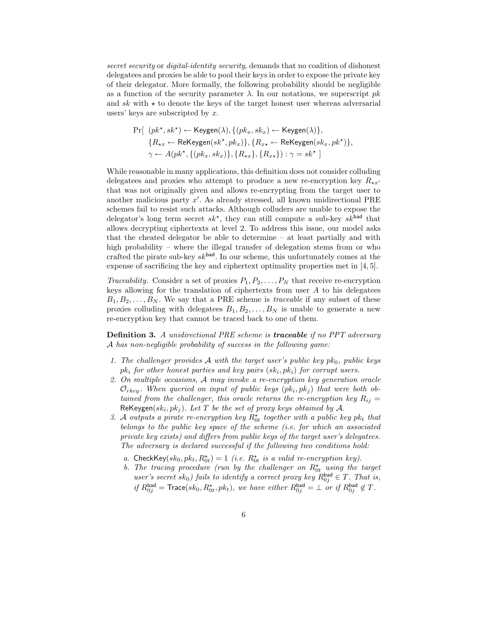secret security or digital-identity security, demands that no coalition of dishonest delegatees and proxies be able to pool their keys in order to expose the private key of their delegator. More formally, the following probability should be negligible as a function of the security parameter  $\lambda$ . In our notations, we superscript pk and  $sk$  with  $\star$  to denote the keys of the target honest user whereas adversarial users' keys are subscripted by x.

$$
\begin{aligned} \Pr[~~(pk^\star, sk^\star) \leftarrow \mathsf{Keygen}(\lambda), \{(pk_x, sk_x) \leftarrow \mathsf{Keygen}(\lambda)\}, \\ \{R_{\star x} \leftarrow \mathsf{ReKeygen}(sk^\star, pk_x)\}, \{R_{x\star} \leftarrow \mathsf{ReKeygen}(sk_x, pk^\star)\}, \\ \gamma \leftarrow A(pk^\star, \{(pk_x, sk_x)\}, \{R_{\star x}\}, \{R_{\star x}\}): \gamma = sk^\star \end{aligned} \bigg] \end{aligned}
$$

While reasonable in many applications, this definition does not consider colluding delegatees and proxies who attempt to produce a new re-encryption key  $R_{\star x'}$ that was not originally given and allows re-encrypting from the target user to another malicious party  $x'$ . As already stressed, all known unidirectional PRE schemes fail to resist such attacks. Although colluders are unable to expose the delegator's long term secret  $sk^*$ , they can still compute a sub-key  $sk^{\text{bad}}$  that allows decrypting ciphertexts at level 2. To address this issue, our model asks that the cheated delegator be able to determine – at least partially and with high probability – where the illegal transfer of delegation stems from or who crafted the pirate sub-key  $sk^{\text{bad}}$ . In our scheme, this unfortunately comes at the expense of sacrificing the key and ciphertext optimality properties met in [4, 5].

*Traceability.* Consider a set of proxies  $P_1, P_2, \ldots, P_N$  that receive re-encryption keys allowing for the translation of ciphertexts from user  $A$  to his delegatees  $B_1, B_2, \ldots, B_N$ . We say that a PRE scheme is *traceable* if any subset of these proxies colluding with delegatees  $B_1, B_2, \ldots, B_N$  is unable to generate a new re-encryption key that cannot be traced back to one of them.

Definition 3. A unidirectional PRE scheme is **traceable** if no PPT adversary A has non-negligible probability of success in the following game:

- 1. The challenger provides  $A$  with the target user's public key pk<sub>0</sub>, public keys  $pk_i$  for other honest parties and key pairs  $(\overline{sk_i}, \overline{pk_i})$  for corrupt users.
- 2. On multiple occasions, A may invoke a re-encryption key generation oracle  $\mathcal{O}_{rkey}$ . When queried on input of public keys  $(pk_i, pk_j)$  that were both obtained from the challenger, this oracle returns the re-encryption key  $R_{ii} =$  $\mathsf{ReKeygen}(sk_i, pk_j)$ . Let T be the set of proxy keys obtained by  $\mathcal{A}$ .
- 3. A outputs a pirate re-encryption key  $R_{0t}^*$  together with a public key p $k_t$  that belongs to the public key space of the scheme (i.e. for which an associated private key exists) and differs from public keys of the target user's delegatees. The adversary is declared successful if the following two conditions hold:
	- a. CheckKey $(sk_0, pk_t, R_{0t}^{\star}) = 1$  (i.e.  $R_{0t}^{\star}$  is a valid re-encryption key).
	- b. The tracing procedure (run by the challenger on  $R_{0t}^{\star}$  using the target user's secret  $sk_0$ ) fails to identify a correct proxy  $key$   $R_{0j}^{\text{bad}} \in T$ . That is, if  $R_{0j}^{\text{bad}} = \text{Trace}(sk_0, R_{0t}^{\star}, pk_t)$ , we have either  $R_{0j}^{\text{bad}} = \perp$  or if  $R_{0j}^{\text{bad}} \notin T$ .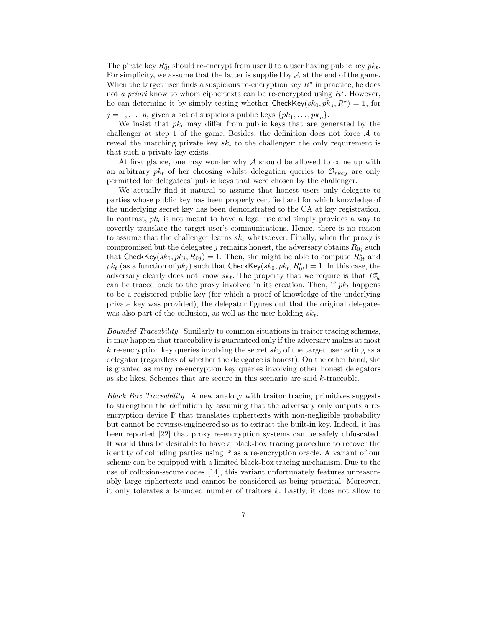The pirate key  $R_{0t}^{\star}$  should re-encrypt from user 0 to a user having public key  $pk_t$ . For simplicity, we assume that the latter is supplied by  $A$  at the end of the game. When the target user finds a suspicious re-encryption key  $R^*$  in practice, he does not a priori know to whom ciphertexts can be re-encrypted using  $R^*$ . However, he can determine it by simply testing whether CheckKey( $sk_0, \tilde{pk}_j, R^{\star}$ ) = 1, for  $j = 1, \ldots, \eta$ , given a set of suspicious public keys  $\{\tilde{pk}_1, \ldots, \tilde{pk}_\eta\}.$ 

We insist that  $pk_t$  may differ from public keys that are generated by the challenger at step 1 of the game. Besides, the definition does not force  $A$  to reveal the matching private key  $sk_t$  to the challenger: the only requirement is that such a private key exists.

At first glance, one may wonder why  $A$  should be allowed to come up with an arbitrary  $pk_t$  of her choosing whilst delegation queries to  $\mathcal{O}_{rkey}$  are only permitted for delegatees' public keys that were chosen by the challenger.

We actually find it natural to assume that honest users only delegate to parties whose public key has been properly certified and for which knowledge of the underlying secret key has been demonstrated to the CA at key registration. In contrast,  $pk<sub>t</sub>$  is not meant to have a legal use and simply provides a way to covertly translate the target user's communications. Hence, there is no reason to assume that the challenger learns  $sk_t$  whatsoever. Finally, when the proxy is compromised but the delegatee j remains honest, the adversary obtains  $R_{0j}$  such that CheckKey $(sk_0, pk_j, R_{0j}$  = 1. Then, she might be able to compute  $R_{0t}^{\star}$  and  $pk_t$  (as a function of  $pk_j$ ) such that CheckKey( $sk_0, pk_t, R_{0t}^*$ ) = 1. In this case, the adversary clearly does not know  $sk_t$ . The property that we require is that  $R_{0t}^*$ can be traced back to the proxy involved in its creation. Then, if  $pk<sub>t</sub>$  happens to be a registered public key (for which a proof of knowledge of the underlying private key was provided), the delegator figures out that the original delegatee was also part of the collusion, as well as the user holding  $sk_t$ .

Bounded Traceability. Similarly to common situations in traitor tracing schemes, it may happen that traceability is guaranteed only if the adversary makes at most k re-encryption key queries involving the secret  $sk_0$  of the target user acting as a delegator (regardless of whether the delegatee is honest). On the other hand, she is granted as many re-encryption key queries involving other honest delegators as she likes. Schemes that are secure in this scenario are said k-traceable.

Black Box Traceability. A new analogy with traitor tracing primitives suggests to strengthen the definition by assuming that the adversary only outputs a reencryption device  $\mathbb P$  that translates ciphertexts with non-negligible probability but cannot be reverse-engineered so as to extract the built-in key. Indeed, it has been reported [22] that proxy re-encryption systems can be safely obfuscated. It would thus be desirable to have a black-box tracing procedure to recover the identity of colluding parties using  $\mathbb P$  as a re-encryption oracle. A variant of our scheme can be equipped with a limited black-box tracing mechanism. Due to the use of collusion-secure codes [14], this variant unfortunately features unreasonably large ciphertexts and cannot be considered as being practical. Moreover, it only tolerates a bounded number of traitors  $k$ . Lastly, it does not allow to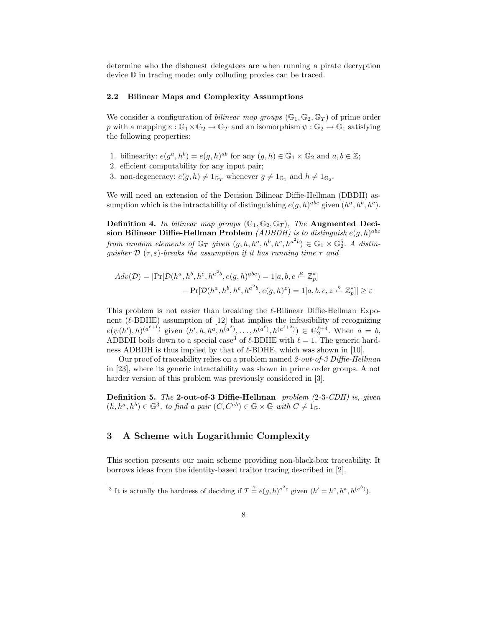determine who the dishonest delegatees are when running a pirate decryption device D in tracing mode: only colluding proxies can be traced.

#### 2.2 Bilinear Maps and Complexity Assumptions

We consider a configuration of *bilinear map groups* ( $\mathbb{G}_1$ ,  $\mathbb{G}_2$ ,  $\mathbb{G}_T$ ) of prime order p with a mapping  $e : \mathbb{G}_1 \times \mathbb{G}_2 \to \mathbb{G}_T$  and an isomorphism  $\psi : \mathbb{G}_2 \to \mathbb{G}_1$  satisfying the following properties:

- 1. bilinearity:  $e(g^a, h^b) = e(g, h)^{ab}$  for any  $(g, h) \in \mathbb{G}_1 \times \mathbb{G}_2$  and  $a, b \in \mathbb{Z}$ ;
- 2. efficient computability for any input pair;
- 3. non-degeneracy:  $e(g, h) \neq 1_{\mathbb{G}_T}$  whenever  $g \neq 1_{\mathbb{G}_1}$  and  $h \neq 1_{\mathbb{G}_2}$ .

We will need an extension of the Decision Bilinear Diffie-Hellman (DBDH) assumption which is the intractability of distinguishing  $e(g, h)^{abc}$  given  $(h^a, h^b, h^c)$ .

Definition 4. In bilinear map groups  $(\mathbb{G}_1, \mathbb{G}_2, \mathbb{G}_T)$ , The Augmented Decision Bilinear Diffie-Hellman Problem *(ADBDH) is to distinguish e*(g, h)<sup>abc</sup> from random elements of  $\mathbb{G}_T$  given  $(g, h, h^a, h^b, h^c, h^{a^2b}) \in \mathbb{G}_1 \times \mathbb{G}_2^5$ . A distinguisher  $\mathcal{D}(\tau,\varepsilon)$ -breaks the assumption if it has running time  $\tau$  and

$$
Adv(\mathcal{D}) = |\Pr[\mathcal{D}(h^a, h^b, h^c, h^{a^2b}, e(g, h)^{abc}) = 1|a, b, c \stackrel{R}{\leftarrow} \mathbb{Z}_p^*]
$$

$$
- \Pr[\mathcal{D}(h^a, h^b, h^c, h^{a^2b}, e(g, h)^z) = 1|a, b, c, z \stackrel{R}{\leftarrow} \mathbb{Z}_p^*]| \ge \varepsilon
$$

This problem is not easier than breaking the  $\ell$ -Bilinear Diffie-Hellman Exponent ( $\ell$ -BDHE) assumption of [12] that implies the infeasibility of recognizing  $e(\psi(h'),h)^{(a^{\ell+1})}$  given  $(h',h,h^a,h^{(a^2)},\ldots,h^{(a^{\ell})},h^{(a^{\ell+2})}) \in \mathbb{G}_2^{\ell+4}$ . When  $a=b$ , ADBDH boils down to a special case<sup>3</sup> of  $\ell$ -BDHE with  $\ell = 1$ . The generic hardness ADBDH is thus implied by that of  $\ell$ -BDHE, which was shown in [10].

Our proof of traceability relies on a problem named 2-out-of-3 Diffie-Hellman in [23], where its generic intractability was shown in prime order groups. A not harder version of this problem was previously considered in [3].

Definition 5. The 2-out-of-3 Diffie-Hellman problem (2-3-CDH) is, given  $(h, h^a, h^b) \in \mathbb{G}^3$ , to find a pair  $(C, C^{ab}) \in \mathbb{G} \times \mathbb{G}$  with  $C \neq 1_{\mathbb{G}}$ .

## 3 A Scheme with Logarithmic Complexity

This section presents our main scheme providing non-black-box traceability. It borrows ideas from the identity-based traitor tracing described in [2].

<sup>&</sup>lt;sup>3</sup> It is actually the hardness of deciding if  $T = e(g, h)^{a^2c}$  given  $(h' = h^c, h^a, h^{(a^3)})$ .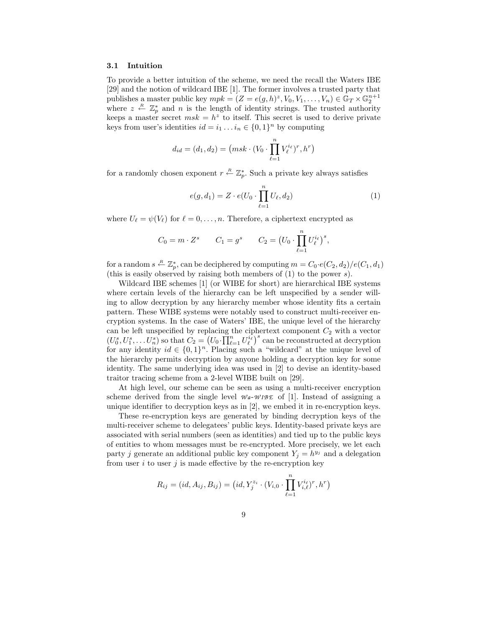#### 3.1 Intuition

To provide a better intuition of the scheme, we need the recall the Waters IBE [29] and the notion of wildcard IBE [1]. The former involves a trusted party that publishes a master public key  $mpk = (Z = e(g, h)^z, V_0, V_1, \dots, V_n) \in \mathbb{G}_T \times \mathbb{G}_2^{n+1}$ where  $z \stackrel{R}{\leftarrow} \mathbb{Z}_p^*$  and n is the length of identity strings. The trusted authority keeps a master secret  $msk = h^z$  to itself. This secret is used to derive private keys from user's identities  $id = i_1 \dots i_n \in \{0,1\}^n$  by computing

$$
d_{id} = (d_1, d_2) = (msk \cdot (V_0 \cdot \prod_{\ell=1}^n V_{\ell}^{i_{\ell}})^r, h^r)
$$

for a randomly chosen exponent  $r \stackrel{R}{\leftarrow} \mathbb{Z}_p^*$ . Such a private key always satisfies

$$
e(g, d_1) = Z \cdot e(U_0 \cdot \prod_{\ell=1}^n U_\ell, d_2) \tag{1}
$$

where  $U_{\ell} = \psi(V_{\ell})$  for  $\ell = 0, \ldots, n$ . Therefore, a ciphertext encrypted as

$$
C_0 = m \cdot Z^s
$$
  $C_1 = g^s$   $C_2 = (U_0 \cdot \prod_{\ell=1}^n U_{\ell}^{i_{\ell}})^s$ ,

for a random  $s \stackrel{R}{\leftarrow} \mathbb{Z}_p^*$ , can be deciphered by computing  $m = C_0 \cdot e(C_2, d_2)/e(C_1, d_1)$ (this is easily observed by raising both members of  $(1)$  to the power s).

Wildcard IBE schemes [1] (or WIBE for short) are hierarchical IBE systems where certain levels of the hierarchy can be left unspecified by a sender willing to allow decryption by any hierarchy member whose identity fits a certain pattern. These WIBE systems were notably used to construct multi-receiver encryption systems. In the case of Waters' IBE, the unique level of the hierarchy can be left unspecified by replacing the ciphertext component  $C_2$  with a vector  $(U_0^s, U_1^s, \ldots, U_n^s)$  so that  $C_2 = (U_0 \cdot \prod_{\ell=1}^n U_\ell^{i_\ell})^s$  can be reconstructed at decryption for any identity  $id \in \{0,1\}^n$ . Placing such a "wildcard" at the unique level of the hierarchy permits decryption by anyone holding a decryption key for some identity. The same underlying idea was used in [2] to devise an identity-based traitor tracing scheme from a 2-level WIBE built on [29].

At high level, our scheme can be seen as using a multi-receiver encryption scheme derived from the single level  $W_a-W I \mathcal{B} \mathcal{L}$  of [1]. Instead of assigning a unique identifier to decryption keys as in [2], we embed it in re-encryption keys.

These re-encryption keys are generated by binding decryption keys of the multi-receiver scheme to delegatees' public keys. Identity-based private keys are associated with serial numbers (seen as identities) and tied up to the public keys of entities to whom messages must be re-encrypted. More precisely, we let each party j generate an additional public key component  $Y_j = h^{y_j}$  and a delegation from user  $i$  to user  $j$  is made effective by the re-encryption key

$$
R_{ij} = (id, A_{ij}, B_{ij}) = (id, Y_j^{z_i} \cdot (V_{i,0} \cdot \prod_{\ell=1}^n V_{i,\ell}^{i_\ell})^r, h^r)
$$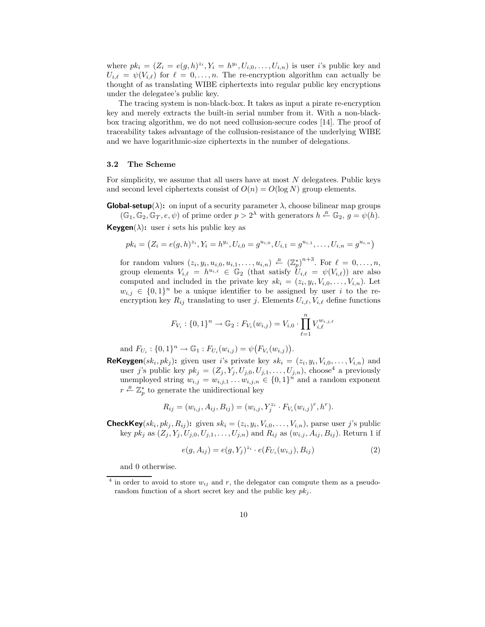where  $pk_i = (Z_i = e(g, h)^{z_i}, Y_i = h^{y_i}, U_{i,0}, \ldots, U_{i,n})$  is user *i*'s public key and  $U_{i,\ell} = \psi(V_{i,\ell})$  for  $\ell = 0,\ldots,n$ . The re-encryption algorithm can actually be thought of as translating WIBE ciphertexts into regular public key encryptions under the delegatee's public key.

The tracing system is non-black-box. It takes as input a pirate re-encryption key and merely extracts the built-in serial number from it. With a non-blackbox tracing algorithm, we do not need collusion-secure codes [14]. The proof of traceability takes advantage of the collusion-resistance of the underlying WIBE and we have logarithmic-size ciphertexts in the number of delegations.

#### 3.2 The Scheme

For simplicity, we assume that all users have at most N delegatees. Public keys and second level ciphertexts consist of  $O(n) = O(\log N)$  group elements.

**Global-setup**( $\lambda$ ): on input of a security parameter  $\lambda$ , choose bilinear map groups

 $(\mathbb{G}_1, \mathbb{G}_2, \mathbb{G}_T, e, \psi)$  of prime order  $p > 2^{\lambda}$  with generators  $h \stackrel{R}{\leftarrow} \mathbb{G}_2$ ,  $g = \psi(h)$ .

**Keygen**( $\lambda$ ): user *i* sets his public key as

$$
pk_i = (Z_i = e(g, h)^{z_i}, Y_i = h^{y_i}, U_{i,0} = g^{u_{i,0}}, U_{i,1} = g^{u_{i,1}}, \dots, U_{i,n} = g^{u_{i,n}})
$$

for random values  $(z_i, y_i, u_{i,0}, u_{i,1}, \ldots, u_{i,n}) \stackrel{R}{\leftarrow} (\mathbb{Z}_p^*)^{n+3}$ . For  $\ell = 0, \ldots, n$ , group elements  $V_{i,\ell} = h^{u_{i,\ell}} \in \mathbb{G}_2$  (that satisfy  $U_{i,\ell} = \psi(V_{i,\ell})$ ) are also computed and included in the private key  $sk_i = (z_i, y_i, V_{i,0}, \ldots, V_{i,n})$ . Let  $w_{i,j} \in \{0,1\}^n$  be a unique identifier to be assigned by user i to the reencryption key  $R_{ij}$  translating to user j. Elements  $U_{i,\ell}, V_{i,\ell}$  define functions

$$
F_{V_i}: \{0,1\}^n \to \mathbb{G}_2: F_{V_i}(w_{i,j}) = V_{i,0} \cdot \prod_{\ell=1}^n V_{i,\ell}^{w_{i,j,\ell}}
$$

and  $F_{U_i}: \{0,1\}^n \to \mathbb{G}_1: F_{U_i}(w_{i,j}) = \psi(F_{V_i}(w_{i,j})).$ 

**ReKeygen** $(sk_i, pk_j)$ : given user i's private key  $sk_i = (z_i, y_i, V_{i,0}, \ldots, V_{i,n})$  and user j's public key  $pk_j = (Z_j, Y_j, U_{j,0}, U_{j,1}, \ldots, U_{j,n})$ , choose<sup>4</sup> a previously unemployed string  $w_{i,j} = w_{i,j,1} \dots w_{i,j,n} \in \{0,1\}^n$  and a random exponent  $r \stackrel{R}{\leftarrow} \mathbb{Z}_p^*$  to generate the unidirectional key

$$
R_{ij} = (w_{i,j}, A_{ij}, B_{ij}) = (w_{i,j}, Y_j^{z_i} \cdot F_{V_i}(w_{i,j})^r, h^r).
$$

**CheckKey**( $sk_i, pk_j, R_{ij}$ ): given  $sk_i = (z_i, y_i, V_{i,0}, \ldots, V_{i,n})$ , parse user j's public key  $pk_j$  as  $(Z_j, Y_j, U_{j,0}, U_{j,1}, \ldots, U_{j,n})$  and  $R_{ij}$  as  $(w_{i,j}, A_{ij}, B_{ij})$ . Return 1 if

$$
e(g, A_{ij}) = e(g, Y_j)^{z_i} \cdot e(F_{U_i}(w_{i,j}), B_{ij})
$$
\n(2)

and 0 otherwise.

<sup>&</sup>lt;sup>4</sup> in order to avoid to store  $w_{ij}$  and r, the delegator can compute them as a pseudorandom function of a short secret key and the public key  $pk_i$ .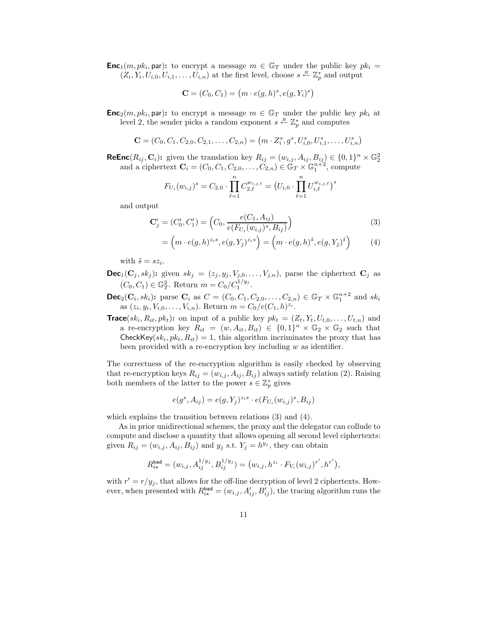**Enc**<sub>1</sub> $(m, pk_i, \text{par})$ : to encrypt a message  $m \in \mathbb{G}_T$  under the public key  $pk_i =$  $(Z_i, Y_i, U_{i,0}, U_{i,1}, \ldots, U_{i,n})$  at the first level, choose  $s \stackrel{R}{\leftarrow} \mathbb{Z}_p^*$  and output

$$
\mathbf{C} = (C_0, C_1) = (m \cdot e(g, h)^s, e(g, Y_i)^s)
$$

**Enc**<sub>2</sub> $(m, pk_i, \text{par})$ : to encrypt a message  $m \in \mathbb{G}_T$  under the public key  $pk_i$  at level 2, the sender picks a random exponent  $s \stackrel{R}{\leftarrow} \mathbb{Z}_p^*$  and computes

$$
\mathbf{C} = (C_0, C_1, C_{2,0}, C_{2,1}, \dots, C_{2,n}) = (m \cdot Z_i^s, g^s, U_{i,0}^s, U_{i,1}^s, \dots, U_{i,n}^s)
$$

**ReEnc**( $R_{ij}$ ,  $\mathbf{C}_i$ ): given the translation key  $R_{ij} = (w_{i,j}, A_{ij}, B_{ij}) \in \{0, 1\}^n \times \mathbb{G}_2^2$ <br>and a ciphertext  $\mathbf{C}_i = (C_0, C_1, C_{2,0}, \dots, C_{2,n}) \in \mathbb{G}_T \times \mathbb{G}_1^{n+2}$ , compute

$$
F_{U_i}(w_{i,j})^s = C_{2,0} \cdot \prod_{\ell=1}^n C_{2,\ell}^{w_{i,j,\ell}} = (U_{i,0} \cdot \prod_{\ell=1}^n U_{i,\ell}^{w_{i,j,\ell}})^s
$$

and output

$$
\mathbf{C}'_j = (C'_0, C'_1) = \left(C_0, \frac{e(C_1, A_{ij})}{e(F_{U_i}(w_{i,j})^s, B_{ij})}\right)
$$
\n(3)

$$
= \left(m \cdot e(g, h)^{z_i s}, e(g, Y_j)^{z_i s}\right) = \left(m \cdot e(g, h)^{\tilde{s}}, e(g, Y_j)^{\tilde{s}}\right) \tag{4}
$$

with  $\tilde{s} = sz_i$ .

- **Dec**<sub>1</sub>( $C_j$ ,  $sk_j$ ): given  $sk_j = (z_j, y_j, V_{j,0}, \ldots, V_{j,n})$ , parse the ciphertext  $C_j$  as  $(C_0, C_1) \in \mathbb{G}_T^2$ . Return  $m = C_0 / C_1^{1/y_j}$ .
- **Dec**<sub>2</sub>( $\mathbf{C}_i$ , sk<sub>i</sub>): parse  $\mathbf{C}_i$  as  $C = (C_0, C_1, C_{2,0}, \ldots, C_{2,n}) \in \mathbb{G}_T \times \mathbb{G}_1^{n+2}$  and sk<sub>i</sub> as  $(z_i, y_i, V_{i,0}, \ldots, V_{i,n})$ . Return  $m = C_0/e(C_1, h)^{z_i}$ .
- **Trace** $(sk_i, R_{it}, pk_t)$ : on input of a public key  $pk_t = (Z_t, Y_t, U_{t,0}, \ldots, U_{t,n})$  and a re-encryption key  $R_{it} = (w, A_{it}, B_{it}) \in \{0, 1\}^n \times \mathbb{G}_2 \times \mathbb{G}_2$  such that CheckKey( $sk_i, pk_t, R_{it}$ ) = 1, this algorithm incriminates the proxy that has been provided with a re-encryption key including  $w$  as identifier.

The correctness of the re-encryption algorithm is easily checked by observing that re-encryption keys  $R_{ij} = (w_{i,j}, A_{ij}, B_{ij})$  always satisfy relation (2). Raising both members of the latter to the power  $s \in \mathbb{Z}_p^*$  gives

$$
e(g^s, A_{ij}) = e(g, Y_j)^{z_i s} \cdot e(F_{U_i}(w_{i,j})^s, B_{ij})
$$

which explains the transition between relations (3) and (4).

As in prior unidirectional schemes, the proxy and the delegator can collude to compute and disclose a quantity that allows opening all second level ciphertexts: given  $R_{ij} = (w_{i,j}, A_{ij}, B_{ij})$  and  $y_j$  s.t.  $Y_j = h^{y_j}$ , they can obtain

$$
R_{i\star}^{\text{bad}} = (w_{i,j}, A_{ij}^{1/y_j}, B_{ij}^{1/y_j}) = (w_{i,j}, h^{z_i} \cdot F_{V_i}(w_{i,j})^{r'}, h^{r'}),
$$

with  $r' = r/y_j$ , that allows for the off-line decryption of level 2 ciphertexts. However, when presented with  $R_{i\star}^{\text{bad}} = (w_{i,j}, A'_{ij}, B'_{ij})$ , the tracing algorithm runs the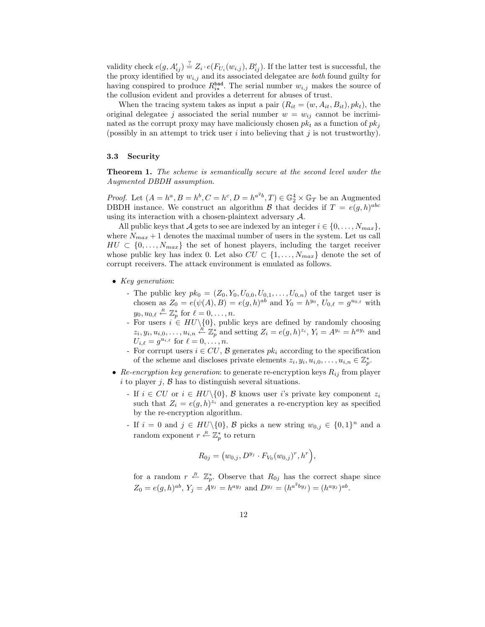validity check  $e(g, A'_{ij}) \stackrel{?}{=} Z_i \cdot e(F_{U_i}(w_{i,j}), B'_{ij})$ . If the latter test is successful, the the proxy identified by  $w_{i,j}$  and its associated delegatee are *both* found guilty for having conspired to produce  $R_{i\star}^{\text{bad}}$ . The serial number  $w_{i,j}$  makes the source of the collusion evident and provides a deterrent for abuses of trust.

When the tracing system takes as input a pair  $(R_{it} = (w, A_{it}, B_{it}), p k_t)$ , the original delegatee j associated the serial number  $w = w_{ij}$  cannot be incriminated as the corrupt proxy may have maliciously chosen  $pk_t$  as a function of  $pk_j$ (possibly in an attempt to trick user i into believing that j is not trustworthy).

#### 3.3 Security

Theorem 1. The scheme is semantically secure at the second level under the Augmented DBDH assumption.

*Proof.* Let  $(A = h^a, B = h^b, C = h^c, D = h^{a^2b}, T) \in \mathbb{G}_2^4 \times \mathbb{G}_T$  be an Augmented DBDH instance. We construct an algorithm  $\mathcal{B}$  that decides if  $T = e(g, h)^{abc}$ using its interaction with a chosen-plaintext adversary A.

All public keys that A gets to see are indexed by an integer  $i \in \{0, \ldots, N_{max}\},$ where  $N_{max} + 1$  denotes the maximal number of users in the system. Let us call  $HU \subset \{0, \ldots, N_{max}\}\$  the set of honest players, including the target receiver whose public key has index 0. Let also  $CU \subset \{1, \ldots, N_{max}\}\$  denote the set of corrupt receivers. The attack environment is emulated as follows.

- Key generation:
	- The public key  $pk_0 = (Z_0, Y_0, U_{0,0}, U_{0,1}, \ldots, U_{0,n})$  of the target user is chosen as  $Z_0 = e(\psi(A), B) = e(g, h)^{ab}$  and  $Y_0 = h^{y_0}, U_{0, \ell} = g^{u_{0, \ell}}$  with  $y_0, u_{0,\ell} \stackrel{R}{\leftarrow} \mathbb{Z}_p^*$  for  $\ell = 0, \ldots, n$ .
	- For users  $i \in H\cup \{0\}$ , public keys are defined by randomly choosing  $z_i, y_i, u_{i,0}, \ldots, u_{i,n} \stackrel{\tilde{\mu}}{\leftarrow} \mathbb{Z}_p^*$  and setting  $Z_i = e(g, h)^{z_i}$ ,  $Y_i = A^{y_i} = h^{ay_i}$  and  $U_{i,\ell} = g^{u_{i,\ell}}$  for  $\ell = 0, \ldots, n$ .
	- For corrupt users  $i \in CU$ , B generates  $pk_i$  according to the specification of the scheme and discloses private elements  $z_i, y_i, u_{i,0}, \ldots, u_{i,n} \in \mathbb{Z}_p^*$ .
- Re-encryption key generation: to generate re-encryption keys  $R_{ij}$  from player i to player j,  $\beta$  has to distinguish several situations.
	- If  $i \in CU$  or  $i \in HU\backslash\{0\}$ , B knows user i's private key component  $z_i$ such that  $Z_i = e(g, h)^{z_i}$  and generates a re-encryption key as specified by the re-encryption algorithm.
	- If  $i = 0$  and  $j \in H\{U\setminus\{0\}, \mathcal{B} \text{ picks a new string } w_{0,j} \in \{0,1\}^n \text{ and a}$ random exponent  $r \stackrel{R}{\leftarrow} \mathbb{Z}_p^*$  to return

$$
R_{0j} = (w_{0,j}, D^{y_j} \cdot F_{V_0}(w_{0,j})^r, h^r),
$$

for a random  $r \stackrel{R}{\leftarrow} \mathbb{Z}_p^*$ . Observe that  $R_{0j}$  has the correct shape since  $Z_0 = e(g, h)^{ab}, Y_j = A^{y_j} = h^{ay_j}$  and  $D^{y_j} = (h^{a^2by_j}) = (h^{ay_j})^{ab}.$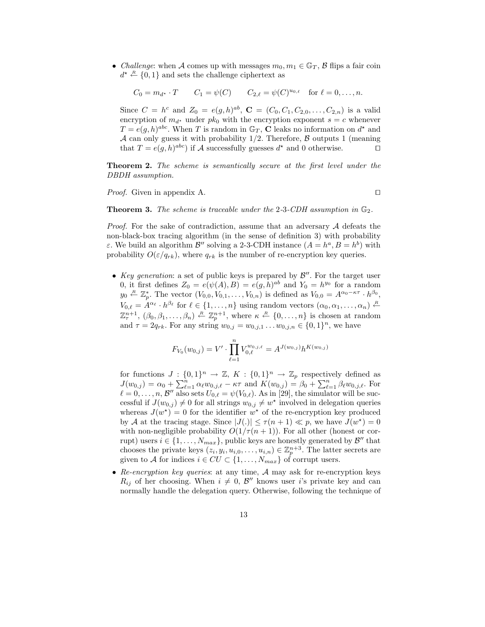• Challenge: when A comes up with messages  $m_0, m_1 \in \mathbb{G}_T$ , B flips a fair coin  $d^* \stackrel{R}{\leftarrow} \{0,1\}$  and sets the challenge ciphertext as

$$
C_0 = m_{d^*} \cdot T
$$
  $C_1 = \psi(C)$   $C_{2,\ell} = \psi(C)^{u_{0,\ell}}$  for  $\ell = 0, ..., n$ .

Since  $C = h^c$  and  $Z_0 = e(g, h)^{ab}$ ,  $\mathbf{C} = (C_0, C_1, C_{2,0}, \ldots, C_{2,n})$  is a valid encryption of  $m_{d^*}$  under  $pk_0$  with the encryption exponent  $s = c$  whenever  $T = e(g, h)^{abc}$ . When T is random in  $\mathbb{G}_T$ , C leaks no information on  $d^*$  and  $\mathcal A$  can only guess it with probability 1/2. Therefore,  $\mathcal B$  outputs 1 (meaning that  $T = e(g, h)^{abc}$  if A successfully guesses  $d^*$  and 0 otherwise. □

Theorem 2. The scheme is semantically secure at the first level under the DBDH assumption.

Proof. Given in appendix A. □

**Theorem 3.** The scheme is traceable under the 2-3-CDH assumption in  $\mathbb{G}_2$ .

*Proof.* For the sake of contradiction, assume that an adversary  $A$  defeats the non-black-box tracing algorithm (in the sense of definition 3) with probability ε. We build an algorithm  $\mathcal{B}''$  solving a 2-3-CDH instance  $(A = h^a, B = h^b)$  with probability  $O(\varepsilon/q_{rk})$ , where  $q_{rk}$  is the number of re-encryption key queries.

• Key generation: a set of public keys is prepared by  $\mathcal{B}''$ . For the target user 0, it first defines  $Z_0 = e(\psi(A), B) = e(g, h)^{ab}$  and  $Y_0 = h^{y_0}$  for a random  $y_0 \stackrel{R}{\leftarrow} \mathbb{Z}_p^*$ . The vector  $(V_{0,0}, V_{0,1}, \ldots, V_{0,n})$  is defined as  $V_{0,0} = A^{\alpha_0 - \kappa \tau} \cdot h^{\beta_0}$ ,  $V_{0,\ell} = A^{\alpha_{\ell}} \cdot h^{\beta_{\ell}}$  for  $\ell \in \{1,\ldots,n\}$  using random vectors  $(\alpha_0, \alpha_1, \ldots, \alpha_n) \stackrel{R}{\leftarrow}$  $\mathbb{Z}_{\tau}^{n+1}$ ,  $(\beta_0, \beta_1, \ldots, \beta_n) \stackrel{R}{\leftarrow} \mathbb{Z}_{p}^{n+1}$ , where  $\kappa \stackrel{R}{\leftarrow} \{0, \ldots, n\}$  is chosen at random and  $\tau = 2q_{rk}$ . For any string  $w_{0,j} = w_{0,j,1} \dots w_{0,j,n} \in \{0,1\}^n$ , we have

$$
F_{V_0}(w_{0,j}) = V' \cdot \prod_{\ell=1}^n V_{0,\ell}^{w_{0,j,\ell}} = A^{J(w_{0,j})} h^{K(w_{0,j})}
$$

for functions  $J : \{0,1\}^n \to \mathbb{Z}, K : \{0,1\}^n \to \mathbb{Z}_p$  respectively defined as  $J(w_{0,j}) = \alpha_0 + \sum_{\ell=1}^n \alpha_\ell w_{0,j,\ell} - \kappa\tau$  and  $K(w_{0,j}) = \beta_0 + \sum_{\ell=1}^n \beta_\ell w_{0,j,\ell}$ . For  $\ell = 0, \ldots, n$ ,  $\mathcal{B}''$  also sets  $U_{0,\ell} = \psi(V_{0,\ell})$ . As in [29], the simulator will be successful if  $J(w_{0,j}) \neq 0$  for all strings  $w_{0,j} \neq w^*$  involved in delegation queries whereas  $J(w^*) = 0$  for the identifier  $w^*$  of the re-encryption key produced by A at the tracing stage. Since  $|J(.)| \leq \tau(n+1) \ll p$ , we have  $J(w^*) = 0$ with non-negligible probability  $O(1/\tau(n+1))$ . For all other (honest or corrupt) users  $i \in \{1, ..., N_{max}\}$ , public keys are honestly generated by  $\mathcal{B}''$  that chooses the private keys  $(z_i, y_i, u_{i,0}, \ldots, u_{i,n}) \in \mathbb{Z}_p^{n+3}$ . The latter secrets are given to A for indices  $i \in CU \subset \{1, \ldots, N_{max}\}\$  of corrupt users.

• Re-encryption key queries: at any time,  $A$  may ask for re-encryption keys  $R_{ij}$  of her choosing. When  $i \neq 0$ ,  $\mathcal{B}''$  knows user i's private key and can normally handle the delegation query. Otherwise, following the technique of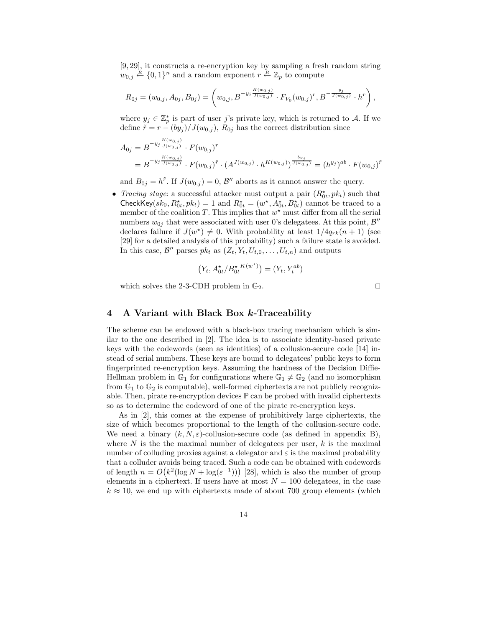[9, 29], it constructs a re-encryption key by sampling a fresh random string  $w_{0,j} \stackrel{\text{R}}{\leftarrow} \{0,1\}^n$  and a random exponent  $r \stackrel{\text{R}}{\leftarrow} \mathbb{Z}_p$  to compute

$$
R_{0j} = (w_{0,j}, A_{0j}, B_{0j}) = \left(w_{0,j}, B^{-y_j \frac{K(w_{0,j})}{J(w_{0,j})}} \cdot F_{V_0}(w_{0,j})^r, B^{-\frac{y_j}{J(w_{0,j})}} \cdot h^r\right),
$$

where  $y_j \in \mathbb{Z}_p^*$  is part of user j's private key, which is returned to A. If we define  $\tilde{r} = r - (by_j)/J(w_{0,j}), R_{0j}$  has the correct distribution since

$$
A_{0j} = B^{-y_j \frac{K(w_{0,j})}{J(w_{0,j})}} \cdot F(w_{0,j})^r
$$
  
=  $B^{-y_j \frac{K(w_{0,j})}{J(w_{0,j})}} \cdot F(w_{0,j})^{\tilde{r}} \cdot (A^{J(w_{0,j})} \cdot h^{K(w_{0,j})})^{\frac{by_j}{J(w_{0,j})}} = (h^{y_j})^{ab} \cdot F(w_{0,j})^{\tilde{r}}$ 

and  $B_{0j} = h^{\tilde{r}}$ . If  $J(w_{0,j}) = 0$ ,  $\mathcal{B}''$  aborts as it cannot answer the query.

• Tracing stage: a successful attacker must output a pair  $(R_{0t}^{\star}, pk_t)$  such that CheckKey( $sk_0, R_{0t}^{\star}, pk_t$ ) = 1 and  $R_{0t}^{\star} = (w^{\star}, A_{0t}^{\star}, B_{0t}^{\star})$  cannot be traced to a member of the coalition T. This implies that  $w^*$  must differ from all the serial numbers  $w_{0j}$  that were associated with user 0's delegatees. At this point,  $\mathcal{B}^{\prime\prime}$ declares failure if  $J(w^*) \neq 0$ . With probability at least  $1/4q_{rk}(n+1)$  (see [29] for a detailed analysis of this probability) such a failure state is avoided. In this case,  $\mathcal{B}''$  parses  $pk_t$  as  $(Z_t, Y_t, U_{t,0}, \ldots, U_{t,n})$  and outputs

$$
\left(Y_t, A_{0t}^\star/B_{0t}^{\star K(w^\star)}\right) = \left(Y_t, Y_t^{ab}\right)
$$

which solves the 2-3-CDH problem in  $\mathbb{G}_2$ . □

## 4 A Variant with Black Box k-Traceability

The scheme can be endowed with a black-box tracing mechanism which is similar to the one described in [2]. The idea is to associate identity-based private keys with the codewords (seen as identities) of a collusion-secure code [14] instead of serial numbers. These keys are bound to delegatees' public keys to form fingerprinted re-encryption keys. Assuming the hardness of the Decision Diffie-Hellman problem in  $\mathbb{G}_1$  for configurations where  $\mathbb{G}_1 \neq \mathbb{G}_2$  (and no isomorphism from  $\mathbb{G}_1$  to  $\mathbb{G}_2$  is computable), well-formed ciphertexts are not publicly recognizable. Then, pirate re-encryption devices  $\mathbb P$  can be probed with invalid ciphertexts so as to determine the codeword of one of the pirate re-encryption keys.

As in [2], this comes at the expense of prohibitively large ciphertexts, the size of which becomes proportional to the length of the collusion-secure code. We need a binary  $(k, N, \varepsilon)$ -collusion-secure code (as defined in appendix B), where  $N$  is the the maximal number of delegatees per user,  $k$  is the maximal number of colluding proxies against a delegator and  $\varepsilon$  is the maximal probability that a colluder avoids being traced. Such a code can be obtained with codewords of length  $n = O(k^2(\log N + \log(\varepsilon^{-1})))$  [28], which is also the number of group elements in a ciphertext. If users have at most  $N = 100$  delegatees, in the case  $k \approx 10$ , we end up with ciphertexts made of about 700 group elements (which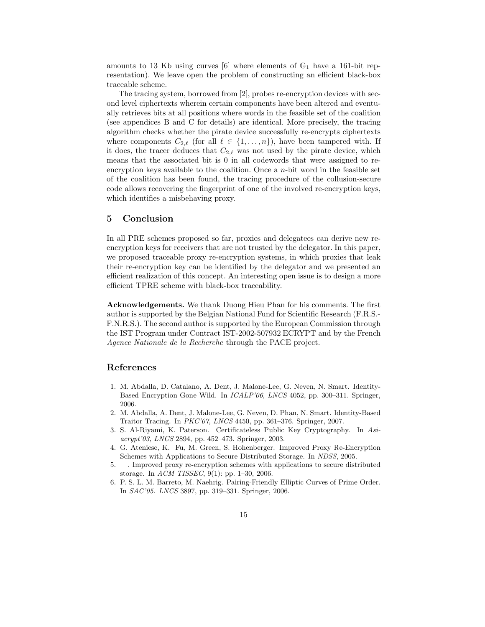amounts to 13 Kb using curves [6] where elements of  $\mathbb{G}_1$  have a 161-bit representation). We leave open the problem of constructing an efficient black-box traceable scheme.

The tracing system, borrowed from [2], probes re-encryption devices with second level ciphertexts wherein certain components have been altered and eventually retrieves bits at all positions where words in the feasible set of the coalition (see appendices B and C for details) are identical. More precisely, the tracing algorithm checks whether the pirate device successfully re-encrypts ciphertexts where components  $C_{2,\ell}$  (for all  $\ell \in \{1,\ldots,n\}$ ), have been tampered with. If it does, the tracer deduces that  $C_{2,\ell}$  was not used by the pirate device, which means that the associated bit is 0 in all codewords that were assigned to reencryption keys available to the coalition. Once a  $n$ -bit word in the feasible set of the coalition has been found, the tracing procedure of the collusion-secure code allows recovering the fingerprint of one of the involved re-encryption keys, which identifies a misbehaving proxy.

## 5 Conclusion

In all PRE schemes proposed so far, proxies and delegatees can derive new reencryption keys for receivers that are not trusted by the delegator. In this paper, we proposed traceable proxy re-encryption systems, in which proxies that leak their re-encryption key can be identified by the delegator and we presented an efficient realization of this concept. An interesting open issue is to design a more efficient TPRE scheme with black-box traceability.

Acknowledgements. We thank Duong Hieu Phan for his comments. The first author is supported by the Belgian National Fund for Scientific Research (F.R.S.- F.N.R.S.). The second author is supported by the European Commission through the IST Program under Contract IST-2002-507932 ECRYPT and by the French Agence Nationale de la Recherche through the PACE project.

#### References

- 1. M. Abdalla, D. Catalano, A. Dent, J. Malone-Lee, G. Neven, N. Smart. Identity-Based Encryption Gone Wild. In ICALP'06, LNCS 4052, pp. 300–311. Springer, 2006.
- 2. M. Abdalla, A. Dent, J. Malone-Lee, G. Neven, D. Phan, N. Smart. Identity-Based Traitor Tracing. In PKC'07, LNCS 4450, pp. 361–376. Springer, 2007.
- 3. S. Al-Riyami, K. Paterson. Certificateless Public Key Cryptography. In Asiacrypt'03, LNCS 2894, pp. 452–473. Springer, 2003.
- 4. G. Ateniese, K. Fu, M. Green, S. Hohenberger. Improved Proxy Re-Encryption Schemes with Applications to Secure Distributed Storage. In NDSS, 2005.
- 5. —. Improved proxy re-encryption schemes with applications to secure distributed storage. In ACM TISSEC, 9(1): pp. 1–30, 2006.
- 6. P. S. L. M. Barreto, M. Naehrig. Pairing-Friendly Elliptic Curves of Prime Order. In SAC'05. LNCS 3897, pp. 319–331. Springer, 2006.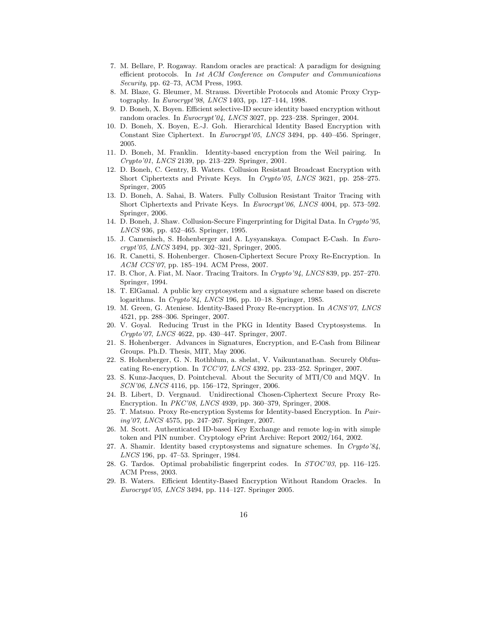- 7. M. Bellare, P. Rogaway. Random oracles are practical: A paradigm for designing efficient protocols. In 1st ACM Conference on Computer and Communications Security, pp. 62–73, ACM Press, 1993.
- 8. M. Blaze, G. Bleumer, M. Strauss. Divertible Protocols and Atomic Proxy Cryptography. In Eurocrypt'98, LNCS 1403, pp. 127–144, 1998.
- 9. D. Boneh, X. Boyen. Efficient selective-ID secure identity based encryption without random oracles. In Eurocrypt'04, LNCS 3027, pp. 223–238. Springer, 2004.
- 10. D. Boneh, X. Boyen, E.-J. Goh. Hierarchical Identity Based Encryption with Constant Size Ciphertext. In Eurocrypt'05, LNCS 3494, pp. 440–456. Springer, 2005.
- 11. D. Boneh, M. Franklin. Identity-based encryption from the Weil pairing. In Crypto'01, LNCS 2139, pp. 213–229. Springer, 2001.
- 12. D. Boneh, C. Gentry, B. Waters. Collusion Resistant Broadcast Encryption with Short Ciphertexts and Private Keys. In Crypto'05, LNCS 3621, pp. 258–275. Springer, 2005
- 13. D. Boneh, A. Sahai, B. Waters. Fully Collusion Resistant Traitor Tracing with Short Ciphertexts and Private Keys. In Eurocrypt'06, LNCS 4004, pp. 573–592. Springer, 2006.
- 14. D. Boneh, J. Shaw. Collusion-Secure Fingerprinting for Digital Data. In Crypto'95, LNCS 936, pp. 452–465. Springer, 1995.
- 15. J. Camenisch, S. Hohenberger and A. Lysyanskaya. Compact E-Cash. In Eurocrypt'05, LNCS 3494, pp. 302–321, Springer, 2005.
- 16. R. Canetti, S. Hohenberger. Chosen-Ciphertext Secure Proxy Re-Encryption. In ACM CCS'07, pp. 185–194. ACM Press, 2007.
- 17. B. Chor, A. Fiat, M. Naor. Tracing Traitors. In Crypto'94, LNCS 839, pp. 257–270. Springer, 1994.
- 18. T. ElGamal. A public key cryptosystem and a signature scheme based on discrete logarithms. In Crypto'84, LNCS 196, pp. 10–18. Springer, 1985.
- 19. M. Green, G. Ateniese. Identity-Based Proxy Re-encryption. In ACNS'07, LNCS 4521, pp. 288–306. Springer, 2007.
- 20. V. Goyal. Reducing Trust in the PKG in Identity Based Cryptosystems. In Crypto'07, LNCS 4622, pp. 430–447. Springer, 2007.
- 21. S. Hohenberger. Advances in Signatures, Encryption, and E-Cash from Bilinear Groups. Ph.D. Thesis, MIT, May 2006.
- 22. S. Hohenberger, G. N. Rothblum, a. shelat, V. Vaikuntanathan. Securely Obfuscating Re-encryption. In TCC'07, LNCS 4392, pp. 233–252. Springer, 2007.
- 23. S. Kunz-Jacques, D. Pointcheval. About the Security of MTI/C0 and MQV. In SCN'06, LNCS 4116, pp. 156–172, Springer, 2006.
- 24. B. Libert, D. Vergnaud. Unidirectional Chosen-Ciphertext Secure Proxy Re-Encryption. In PKC'08, LNCS 4939, pp. 360–379, Springer, 2008.
- 25. T. Matsuo. Proxy Re-encryption Systems for Identity-based Encryption. In Pairing'07, LNCS 4575, pp. 247–267. Springer, 2007.
- 26. M. Scott. Authenticated ID-based Key Exchange and remote log-in with simple token and PIN number. Cryptology ePrint Archive: Report 2002/164, 2002.
- 27. A. Shamir. Identity based cryptosystems and signature schemes. In Crypto'84, LNCS 196, pp. 47–53. Springer, 1984.
- 28. G. Tardos. Optimal probabilistic fingerprint codes. In STOC'03, pp. 116–125. ACM Press, 2003.
- 29. B. Waters. Efficient Identity-Based Encryption Without Random Oracles. In Eurocrypt'05, LNCS 3494, pp. 114–127. Springer 2005.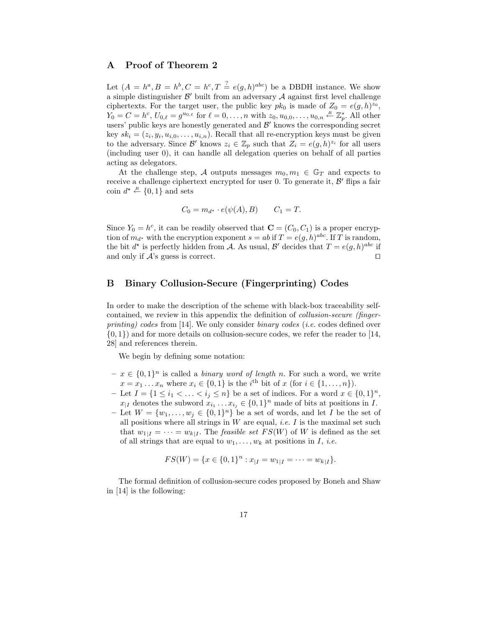# A Proof of Theorem 2

Let  $(A = h^a, B = h^b, C = h^c, T \stackrel{?}{=} e(g, h)^{abc}$  be a DBDH instance. We show a simple distinguisher  $\mathcal{B}'$  built from an adversary  $\mathcal{A}$  against first level challenge ciphertexts. For the target user, the public key  $pk_0$  is made of  $Z_0 = e(g, h)^{z_0}$ ,  $Y_0 = C = h^c, U_{0,\ell} = g^{u_{0,\ell}}$  for  $\ell = 0, \ldots, n$  with  $z_0, u_{0,0}, \ldots, u_{0,n} \stackrel{R}{\leftarrow} \mathbb{Z}_p^*$ . All other users' public keys are honestly generated and  $\mathcal{B}'$  knows the corresponding secret key  $sk_i = (z_i, y_i, u_{i,0}, \ldots, u_{i,n})$ . Recall that all re-encryption keys must be given to the adversary. Since  $\mathcal{B}'$  knows  $z_i \in \mathbb{Z}_p$  such that  $Z_i = e(g, h)^{z_i}$  for all users (including user 0), it can handle all delegation queries on behalf of all parties acting as delegators.

At the challenge step, A outputs messages  $m_0, m_1 \in \mathbb{G}_T$  and expects to receive a challenge ciphertext encrypted for user 0. To generate it,  $\mathcal{B}'$  flips a fair coin  $d^* \stackrel{R}{\leftarrow} \{0,1\}$  and sets

$$
C_0 = m_{d^*} \cdot e(\psi(A), B) \qquad C_1 = T.
$$

Since  $Y_0 = h^c$ , it can be readily observed that  $\mathbf{C} = (C_0, C_1)$  is a proper encryption of  $m_{d^*}$  with the encryption exponent  $s = ab$  if  $T = e(g, h)^{abc}$ . If T is random, the bit  $d^*$  is perfectly hidden from A. As usual, B' decides that  $T = e(g, h)^{abc}$  if and only if  $\mathcal{A}$ 's guess is correct. □

# B Binary Collusion-Secure (Fingerprinting) Codes

In order to make the description of the scheme with black-box traceability selfcontained, we review in this appendix the definition of collusion-secure (fingerprinting) codes from [14]. We only consider binary codes (i.e. codes defined over  $\{0, 1\}$  and for more details on collusion-secure codes, we refer the reader to [14, 28] and references therein.

We begin by defining some notation:

- $x \in \{0,1\}^n$  is called a *binary word of length n*. For such a word, we write  $x = x_1 ... x_n$  where  $x_i \in \{0, 1\}$  is the *i*<sup>th</sup> bit of  $x$  (for  $i \in \{1, ..., n\}$ ).
- Let  $I = \{1 \le i_1 < \ldots < i_j \le n\}$  be a set of indices. For a word  $x \in \{0,1\}^n$ ,  $x_{|I}$  denotes the subword  $x_{i_1} \ldots x_{i_j} \in \{0,1\}^n$  made of bits at positions in I.
- Let  $W = \{w_1, \ldots, w_j \in \{0,1\}^n\}$  be a set of words, and let I be the set of all positions where all strings in  $W$  are equal, *i.e.*  $I$  is the maximal set such that  $w_{1|I} = \cdots = w_{k|I}$ . The *feasible set FS(W)* of W is defined as the set of all strings that are equal to  $w_1, \ldots, w_k$  at positions in I, *i.e.*

$$
FS(W) = \{x \in \{0,1\}^n : x_{|I} = w_{1|I} = \cdots = w_{k|I}\}.
$$

The formal definition of collusion-secure codes proposed by Boneh and Shaw in [14] is the following: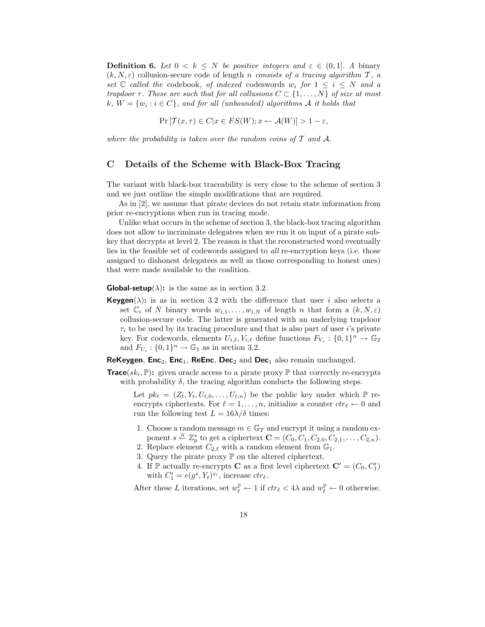**Definition 6.** Let  $0 \le k \le N$  be positive integers and  $\varepsilon \in (0,1]$ . A binary  $(k, N, \varepsilon)$  collusion-secure code of length n consists of a tracing algorithm T, a set  $\mathbb C$  called the codebook, of indexed codeswords  $w_i$  for  $1 \leq i \leq N$  and a trapdoor  $\tau$ . These are such that for all collusions  $C \subset \{1, \ldots, N\}$  of size at most  $k, W = \{w_i : i \in C\}$ , and for all (unbounded) algorithms  ${\mathcal{A}}$  it holds that

$$
\Pr\left[\mathcal{T}(x,\tau)\in C | x\in FS(W); x\leftarrow \mathcal{A}(W)\right] > 1-\varepsilon,
$$

where the probability is taken over the random coins of  $T$  and  $A$ .

#### C Details of the Scheme with Black-Box Tracing

The variant with black-box traceability is very close to the scheme of section 3 and we just outline the simple modifications that are required.

As in [2], we assume that pirate devices do not retain state information from prior re-encryptions when run in tracing mode.

Unlike what occurs in the scheme of section 3, the black-box tracing algorithm does not allow to incriminate delegatees when we run it on input of a pirate subkey that decrypts at level 2. The reason is that the reconstructed word eventually lies in the feasible set of codewords assigned to all re-encryption keys (i.e. those assigned to dishonest delegatees as well as those corresponding to honest ones) that were made available to the coalition.

**Global-setup**( $\lambda$ ): is the same as in section 3.2.

**Keygen**( $\lambda$ ): is as in section 3.2 with the difference that user *i* also selects a set  $\mathbb{C}_i$  of N binary words  $w_{i,1}, \ldots, w_{i,N}$  of length n that form a  $(k, N, \varepsilon)$ collusion-secure code. The latter is generated with an underlying trapdoor  $\tau_i$  to be used by its tracing procedure and that is also part of user i's private key. For codewords, elements  $U_{i,\ell}, V_{i,\ell}$  define functions  $F_{V_i}: \{0,1\}^n \to \mathbb{G}_2$ and  $F_{U_i}: \{0,1\}^n \to \mathbb{G}_1$  as in section 3.2.

ReKeygen, Enc<sub>2</sub>, Enc<sub>1</sub>, ReEnc, Dec<sub>2</sub> and Dec<sub>1</sub> also remain unchanged.

**Trace** $(sk_i, \mathbb{P})$ : given oracle access to a pirate proxy  $\mathbb{P}$  that correctly re-encrypts with probability  $\delta$ , the tracing algorithm conducts the following steps.

Let  $pk_t = (Z_t, Y_t, U_{t,0}, \ldots, U_{t,n})$  be the public key under which  $\mathbb P$  reencrypts ciphertexts. For  $\ell = 1, \ldots, n$ , initialize a counter  $ctr_{\ell} \leftarrow 0$  and run the following test  $L = 16\lambda/\delta$  times:

- 1. Choose a random message  $m \in \mathbb{G}_T$  and encrypt it using a random exponent  $s \stackrel{R}{\leftarrow} \mathbb{Z}_p^*$  to get a ciphertext  $\mathbf{C} = (C_0, C_1, C_{2,0}, C_{2,1}, \ldots, C_{2,n}).$
- 2. Replace element  $C_{2,\ell}$  with a random element from  $\mathbb{G}_1$ .
- 3. Query the pirate proxy  $\mathbb P$  on the altered ciphertext.
- 4. If  $\mathbb P$  actually re-encrypts **C** as a first level ciphertext  $\mathbf{C}' = (C_0, C'_1)$ with  $C'_1 = e(g^s, Y_t)^{z_i}$ , increase  $ctr_{\ell}$ .

After these L iterations, set  $w_{\ell}^{\mathbb{P}} \leftarrow 1$  if  $ctr_{\ell} < 4\lambda$  and  $w_{\ell}^{\mathbb{P}} \leftarrow 0$  otherwise.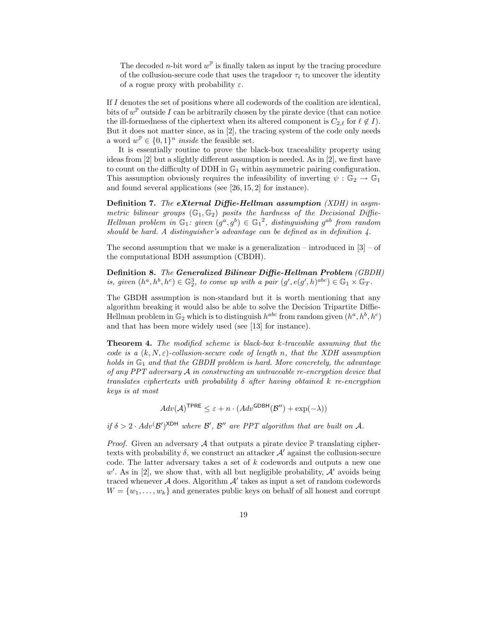The decoded *n*-bit word  $w^{\mathbb{P}}$  is finally taken as input by the tracing procedure of the collusion-secure code that uses the trapdoor  $\tau_i$  to uncover the identity of a rogue proxy with probability  $\varepsilon$ .

If I denotes the set of positions where all codewords of the coalition are identical, bits of  $w^{\mathbb{P}}$  outside I can be arbitrarily chosen by the pirate device (that can notice the ill-formedness of the ciphertext when its altered component is  $C_{2,\ell}$  for  $\ell \notin I$ ). But it does not matter since, as in [2], the tracing system of the code only needs a word  $w^{\mathbb{P}} \in \{0,1\}^n$  inside the feasible set.

It is essentially routine to prove the black-box traceability property using ideas from [2] but a slightly different assumption is needed. As in [2], we first have to count on the difficulty of DDH in  $\mathbb{G}_1$  within asymmetric pairing configuration. This assumption obviously requires the infeasibility of inverting  $\psi : \mathbb{G}_2 \to \mathbb{G}_1$ and found several applications (see [26, 15, 2] for instance).

**Definition 7.** The eXternal Diffie-Hellman assumption  $(XDH)$  in asymmetric bilinear groups  $(\mathbb{G}_1, \mathbb{G}_2)$  posits the hardness of the Decisional Diffie-Hellman problem in  $\mathbb{G}_1$ : given  $(g^a, g^b) \in \mathbb{G}_1^2$ , distinguishing  $g^{ab}$  from random should be hard. A distinguisher's advantage can be defined as in definition 4.

The second assumption that we make is a generalization – introduced in  $[3]$  – of the computational BDH assumption (CBDH).

Definition 8. The Generalized Bilinear Diffie-Hellman Problem (GBDH) is, given  $(h^a, h^b, h^c) \in \mathbb{G}_2^3$ , to come up with a pair  $(g', e(g', h)^{abc}) \in \mathbb{G}_1 \times \mathbb{G}_T$ .

The GBDH assumption is non-standard but it is worth mentioning that any algorithm breaking it would also be able to solve the Decision Tripartite Diffie-Hellman problem in  $\mathbb{G}_2$  which is to distinguish  $h^{abc}$  from random given  $(h^a, h^b, h^c)$ and that has been more widely used (see [13] for instance).

Theorem 4. The modified scheme is black-box k-traceable assuming that the code is a  $(k, N, \varepsilon)$ -collusion-secure code of length n, that the XDH assumption holds in  $\mathbb{G}_1$  and that the GBDH problem is hard. More concretely, the advantage of any PPT adversary A in constructing an untraceable re-encryption device that translates ciphertexts with probability δ after having obtained k re-encryption keys is at most

 $Adv(\mathcal{A})^{\mathsf{TPRE}} \leq \varepsilon + n \cdot (Adv^{\mathsf{GDBH}}(\mathcal{B}'') + \exp(-\lambda))$ 

if  $\delta > 2 \cdot Adv(\mathcal{B}')^{\text{XDH}}$  where  $\mathcal{B}', \mathcal{B}''$  are PPT algorithm that are built on A.

*Proof.* Given an adversary A that outputs a pirate device  $\mathbb{P}$  translating ciphertexts with probability  $\delta$ , we construct an attacker  $\mathcal{A}'$  against the collusion-secure code. The latter adversary takes a set of k codewords and outputs a new one  $w'$ . As in [2], we show that, with all but negligible probability,  $A'$  avoids being traced whenever  $A$  does. Algorithm  $A'$  takes as input a set of random codewords  $W = \{w_1, \ldots, w_k\}$  and generates public keys on behalf of all honest and corrupt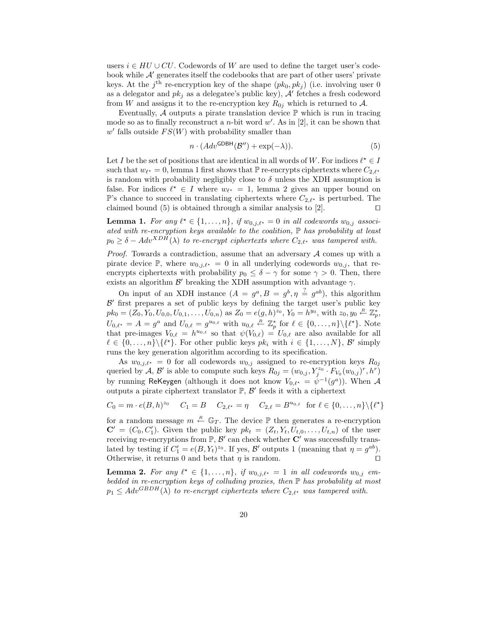users  $i \in HU \cup CU$ . Codewords of W are used to define the target user's codebook while  $\mathcal{A}'$  generates itself the codebooks that are part of other users' private keys. At the j<sup>th</sup> re-encryption key of the shape  $(pk_0, pk_j)$  (i.e. involving user 0 as a delegator and  $pk_j$  as a delegatee's public key),  $A'$  fetches a fresh codeword from W and assigns it to the re-encryption key  $R_{0j}$  which is returned to A.

Eventually,  $A$  outputs a pirate translation device  $\mathbb P$  which is run in tracing mode so as to finally reconstruct a *n*-bit word  $w'$ . As in [2], it can be shown that  $w'$  falls outside  $FS(W)$  with probability smaller than

$$
n \cdot (Adv^{\mathsf{GDBH}}(\mathcal{B}'') + \exp(-\lambda)). \tag{5}
$$

Let I be the set of positions that are identical in all words of W. For indices  $\ell^* \in I$ such that  $w_{\ell^*} = 0$ , lemma 1 first shows that  $\mathbb P$  re-encrypts ciphertexts where  $C_{2,\ell^*}$ is random with probability negligibly close to  $\delta$  unless the XDH assumption is false. For indices  $\ell^* \in I$  where  $w_{\ell^*} = 1$ , lemma 2 gives an upper bound on P's chance to succeed in translating ciphertexts where  $C_{2,\ell^*}$  is perturbed. The claimed bound (5) is obtained through a similar analysis to [2]. □

**Lemma 1.** For any  $\ell^* \in \{1, ..., n\}$ , if  $w_{0,j,\ell^*} = 0$  in all codewords  $w_{0,j}$  associated with re-encryption keys available to the coalition,  $\mathbb P$  has probability at least  $p_0 \geq \delta - Adv<sup>XDH</sup>(\lambda)$  to re-encrypt ciphertexts where  $C_{2,\ell^*}$  was tampered with.

*Proof.* Towards a contradiction, assume that an adversary  $A$  comes up with a pirate device  $\mathbb{P}$ , where  $w_{0,j,\ell^*} = 0$  in all underlying codewords  $w_{0,j}$ , that reencrypts ciphertexts with probability  $p_0 \leq \delta - \gamma$  for some  $\gamma > 0$ . Then, there exists an algorithm  $\mathcal{B}'$  breaking the XDH assumption with advantage  $\gamma$ .

On input of an XDH instance  $(A = g^a, B = g^b, \eta \stackrel{?}{=} g^{ab})$ , this algorithm  $\mathcal{B}'$  first prepares a set of public keys by defining the target user's public key  $pk_0 = (\bar{Z}_0, Y_0, U_{0,0}, U_{0,1}, \ldots, U_{0,n})$  as  $Z_0 = e(g, h)^{z_0}, Y_0 = h^{y_0}$ , with  $z_0, y_0 \stackrel{R}{\leftarrow} \mathbb{Z}_p^*$ ,  $U_{0,\ell^*} = A = g^a$  and  $U_{0,\ell} = g^{u_{0,\ell}}$  with  $u_{0,\ell} \stackrel{R}{\leftarrow} \mathbb{Z}_p^*$  for  $\ell \in \{0,\ldots,n\} \setminus \{\ell^*\}$ . Note that pre-images  $V_{0,\ell} = h^{u_{0,\ell}}$  so that  $\psi(V_{0,\ell}) = U_{0,\ell}$  are also available for all  $\ell \in \{0, \ldots, n\} \backslash \{\ell^{\star}\}.$  For other public keys  $pk_i$  with  $i \in \{1, \ldots, N\}, \mathcal{B}'$  simply runs the key generation algorithm according to its specification.

As  $w_{0,j,\ell^*} = 0$  for all codewords  $w_{0,j}$  assigned to re-encryption keys  $R_{0j}$ queried by A, B' is able to compute such keys  $R_{0j} = (w_{0,j}, Y_j^{z_0} \cdot F_{V_0}(w_{0,j})^r, h^r)$ by running ReKeygen (although it does not know  $V_{0,\ell^*} = \psi^{-1}(g^a)$ ). When A outputs a pirate ciphertext translator  $\mathbb{P}, \mathcal{B}'$  feeds it with a ciphertext

$$
C_0 = m \cdot e(B, h)^{z_0} \quad C_1 = B \quad C_{2,\ell^*} = \eta \quad C_{2,\ell} = B^{u_{0,\ell}} \text{ for } \ell \in \{0, \dots, n\} \setminus \{\ell^*\}
$$

for a random message  $m \stackrel{R}{\leftarrow} \mathbb{G}_T$ . The device P then generates a re-encryption  $\mathbf{C}' = (C_0, C'_1)$ . Given the public key  $pk_t = (Z_t, Y_t, U_{t,0}, \ldots, U_{t,n})$  of the user receiving re-encryptions from  $\mathbb{P}, \mathcal{B}'$  can check whether  $\mathbf{C}'$  was successfully translated by testing if  $C'_1 = e(B, Y_t)^{z_0}$ . If yes,  $\mathcal{B}'$  outputs 1 (meaning that  $\eta = g^{ab}$ ). Otherwise, it returns 0 and bets that  $\eta$  is random. □

**Lemma 2.** For any  $\ell^* \in \{1, ..., n\}$ , if  $w_{0,j,\ell^*} = 1$  in all codewords  $w_{0,j}$  embedded in re-encryption keys of colluding proxies, then P has probability at most  $p_1 \leq Adv^{GBDH}(\lambda)$  to re-encrypt ciphertexts where  $C_{2,\ell^*}$  was tampered with.